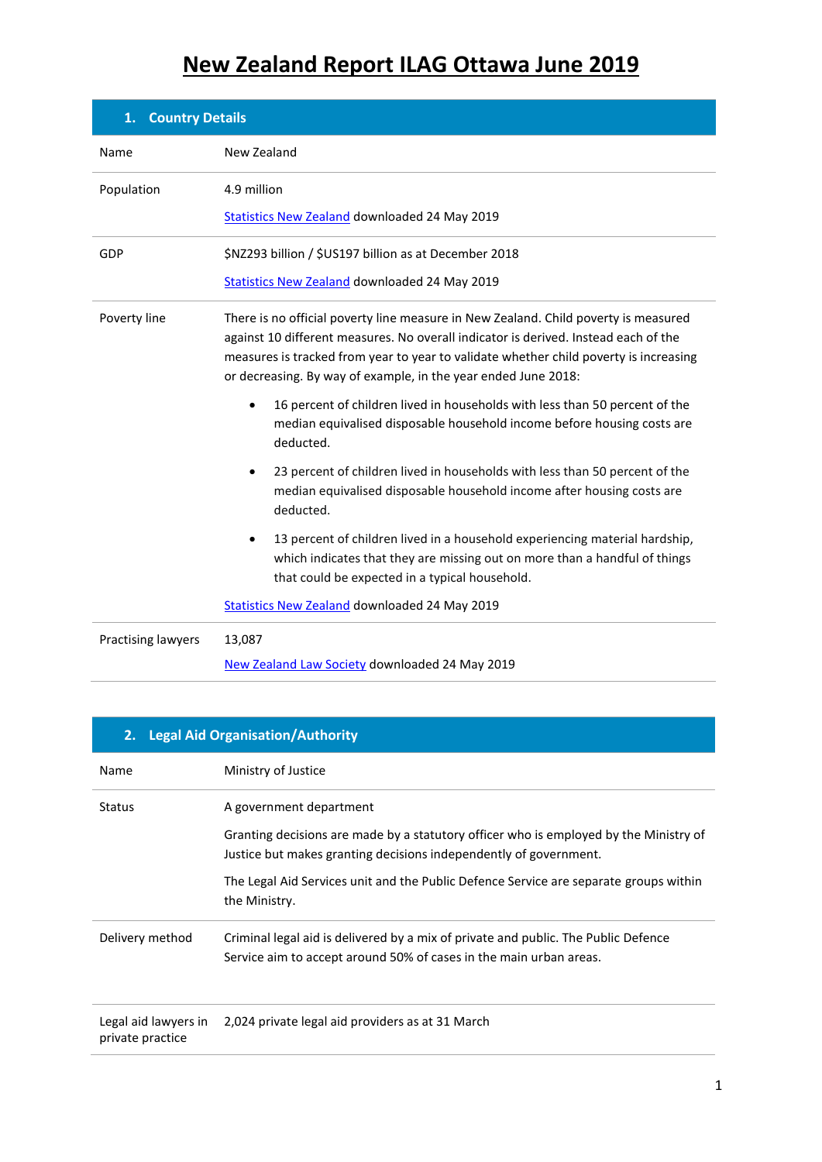| <b>Country Details</b><br>1. |                                                                                                                                                                                                                                                                                                                                       |  |
|------------------------------|---------------------------------------------------------------------------------------------------------------------------------------------------------------------------------------------------------------------------------------------------------------------------------------------------------------------------------------|--|
| Name                         | New Zealand                                                                                                                                                                                                                                                                                                                           |  |
| Population                   | 4.9 million<br><b>Statistics New Zealand downloaded 24 May 2019</b>                                                                                                                                                                                                                                                                   |  |
| GDP                          | \$NZ293 billion / \$US197 billion as at December 2018<br><b>Statistics New Zealand downloaded 24 May 2019</b>                                                                                                                                                                                                                         |  |
| Poverty line                 | There is no official poverty line measure in New Zealand. Child poverty is measured<br>against 10 different measures. No overall indicator is derived. Instead each of the<br>measures is tracked from year to year to validate whether child poverty is increasing<br>or decreasing. By way of example, in the year ended June 2018: |  |
|                              | 16 percent of children lived in households with less than 50 percent of the<br>$\bullet$<br>median equivalised disposable household income before housing costs are<br>deducted.                                                                                                                                                      |  |
|                              | 23 percent of children lived in households with less than 50 percent of the<br>٠<br>median equivalised disposable household income after housing costs are<br>deducted.                                                                                                                                                               |  |
|                              | 13 percent of children lived in a household experiencing material hardship,<br>which indicates that they are missing out on more than a handful of things<br>that could be expected in a typical household.                                                                                                                           |  |
|                              | <b>Statistics New Zealand downloaded 24 May 2019</b>                                                                                                                                                                                                                                                                                  |  |
| Practising lawyers           | 13,087<br>New Zealand Law Society downloaded 24 May 2019                                                                                                                                                                                                                                                                              |  |

| 2. Legal Aid Organisation/Authority      |                                                                                                                                                                                                                                                                                                 |  |
|------------------------------------------|-------------------------------------------------------------------------------------------------------------------------------------------------------------------------------------------------------------------------------------------------------------------------------------------------|--|
| Name                                     | Ministry of Justice                                                                                                                                                                                                                                                                             |  |
| <b>Status</b>                            | A government department<br>Granting decisions are made by a statutory officer who is employed by the Ministry of<br>Justice but makes granting decisions independently of government.<br>The Legal Aid Services unit and the Public Defence Service are separate groups within<br>the Ministry. |  |
| Delivery method                          | Criminal legal aid is delivered by a mix of private and public. The Public Defence<br>Service aim to accept around 50% of cases in the main urban areas.                                                                                                                                        |  |
| Legal aid lawyers in<br>private practice | 2,024 private legal aid providers as at 31 March                                                                                                                                                                                                                                                |  |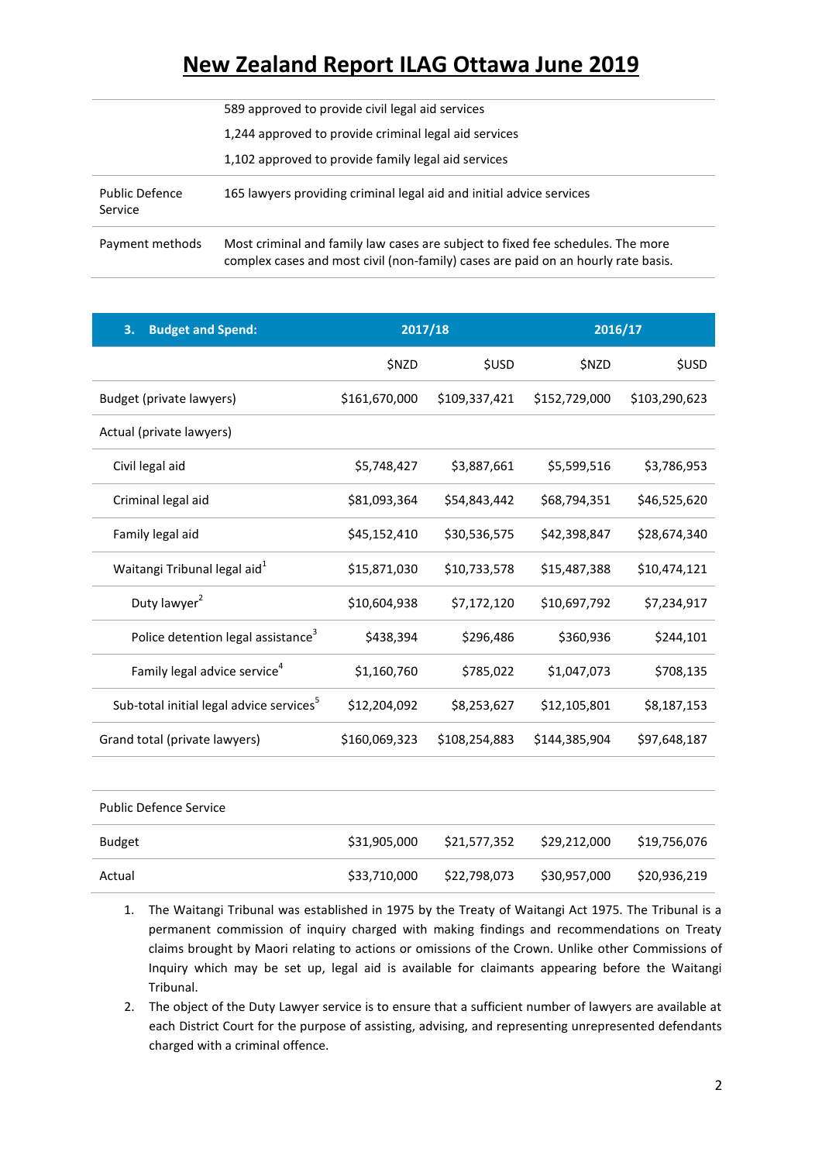|                                  | 589 approved to provide civil legal aid services                                                                                                                     |
|----------------------------------|----------------------------------------------------------------------------------------------------------------------------------------------------------------------|
|                                  | 1,244 approved to provide criminal legal aid services                                                                                                                |
|                                  | 1,102 approved to provide family legal aid services                                                                                                                  |
| <b>Public Defence</b><br>Service | 165 lawyers providing criminal legal aid and initial advice services                                                                                                 |
| Payment methods                  | Most criminal and family law cases are subject to fixed fee schedules. The more<br>complex cases and most civil (non-family) cases are paid on an hourly rate basis. |

| 3.<br><b>Budget and Spend:</b>                       | 2017/18       |               | 2016/17       |               |
|------------------------------------------------------|---------------|---------------|---------------|---------------|
|                                                      | \$NZD         | <b>\$USD</b>  | <b>\$NZD</b>  | <b>\$USD</b>  |
| Budget (private lawyers)                             | \$161,670,000 | \$109,337,421 | \$152,729,000 | \$103,290,623 |
| Actual (private lawyers)                             |               |               |               |               |
| Civil legal aid                                      | \$5,748,427   | \$3,887,661   | \$5,599,516   | \$3,786,953   |
| Criminal legal aid                                   | \$81,093,364  | \$54,843,442  | \$68,794,351  | \$46,525,620  |
| Family legal aid                                     | \$45,152,410  | \$30,536,575  | \$42,398,847  | \$28,674,340  |
| Waitangi Tribunal legal aid <sup>1</sup>             | \$15,871,030  | \$10,733,578  | \$15,487,388  | \$10,474,121  |
| Duty lawyer <sup>2</sup>                             | \$10,604,938  | \$7,172,120   | \$10,697,792  | \$7,234,917   |
| Police detention legal assistance <sup>3</sup>       | \$438,394     | \$296,486     | \$360,936     | \$244,101     |
| Family legal advice service <sup>4</sup>             | \$1,160,760   | \$785,022     | \$1,047,073   | \$708,135     |
| Sub-total initial legal advice services <sup>5</sup> | \$12,204,092  | \$8,253,627   | \$12,105,801  | \$8,187,153   |
| Grand total (private lawyers)                        | \$160,069,323 | \$108,254,883 | \$144,385,904 | \$97,648,187  |
|                                                      |               |               |               |               |
|                                                      |               |               |               |               |

| <b>Public Defence Service</b> |              |              |              |              |
|-------------------------------|--------------|--------------|--------------|--------------|
| Budget                        | \$31,905,000 | \$21,577,352 | \$29,212,000 | \$19,756,076 |
| Actual                        | \$33,710,000 | \$22,798,073 | \$30,957,000 | \$20,936,219 |

- 1. The Waitangi Tribunal was established in 1975 by the Treaty of Waitangi Act 1975. The Tribunal is a permanent commission of inquiry charged with making findings and recommendations on Treaty claims brought by Maori relating to actions or omissions of the Crown. Unlike other Commissions of Inquiry which may be set up, legal aid is available for claimants appearing before the Waitangi Tribunal.
- 2. The object of the Duty Lawyer service is to ensure that a sufficient number of lawyers are available at each District Court for the purpose of assisting, advising, and representing unrepresented defendants charged with a criminal offence.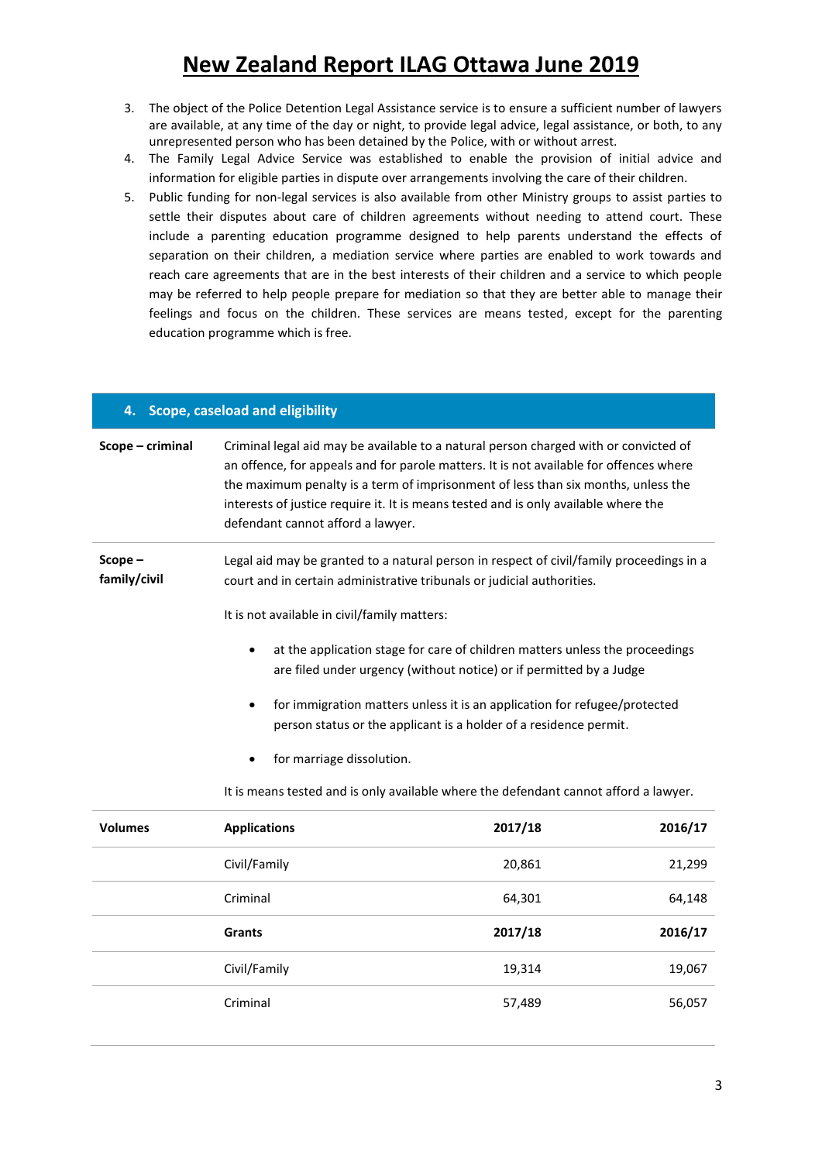- 3. The object of the Police Detention Legal Assistance service is to ensure a sufficient number of lawyers are available, at any time of the day or night, to provide legal advice, legal assistance, or both, to any unrepresented person who has been detained by the Police, with or without arrest.
- 4. The Family Legal Advice Service was established to enable the provision of initial advice and information for eligible parties in dispute over arrangements involving the care of their children.
- 5. Public funding for non-legal services is also available from other Ministry groups to assist parties to settle their disputes about care of children agreements without needing to attend court. These include a parenting education programme designed to help parents understand the effects of separation on their children, a mediation service where parties are enabled to work towards and reach care agreements that are in the best interests of their children and a service to which people may be referred to help people prepare for mediation so that they are better able to manage their feelings and focus on the children. These services are means tested, except for the parenting education programme which is free.

| 4. Scope, caseload and eligibility |                                                                                                                                                                                                                                                                                                                                                                                                                                                                                                                                                                                                                                                  |         |         |
|------------------------------------|--------------------------------------------------------------------------------------------------------------------------------------------------------------------------------------------------------------------------------------------------------------------------------------------------------------------------------------------------------------------------------------------------------------------------------------------------------------------------------------------------------------------------------------------------------------------------------------------------------------------------------------------------|---------|---------|
| Scope – criminal                   | Criminal legal aid may be available to a natural person charged with or convicted of<br>an offence, for appeals and for parole matters. It is not available for offences where<br>the maximum penalty is a term of imprisonment of less than six months, unless the<br>interests of justice require it. It is means tested and is only available where the<br>defendant cannot afford a lawyer.                                                                                                                                                                                                                                                  |         |         |
| $Scope -$<br>family/civil          | Legal aid may be granted to a natural person in respect of civil/family proceedings in a<br>court and in certain administrative tribunals or judicial authorities.<br>It is not available in civil/family matters:<br>at the application stage for care of children matters unless the proceedings<br>are filed under urgency (without notice) or if permitted by a Judge<br>for immigration matters unless it is an application for refugee/protected<br>person status or the applicant is a holder of a residence permit.<br>for marriage dissolution.<br>It is means tested and is only available where the defendant cannot afford a lawyer. |         |         |
| <b>Volumes</b>                     | <b>Applications</b>                                                                                                                                                                                                                                                                                                                                                                                                                                                                                                                                                                                                                              | 2017/18 | 2016/17 |
|                                    | Civil/Family                                                                                                                                                                                                                                                                                                                                                                                                                                                                                                                                                                                                                                     | 20,861  | 21,299  |
|                                    | Criminal                                                                                                                                                                                                                                                                                                                                                                                                                                                                                                                                                                                                                                         | 64,301  | 64,148  |
|                                    | <b>Grants</b>                                                                                                                                                                                                                                                                                                                                                                                                                                                                                                                                                                                                                                    | 2017/18 | 2016/17 |

Civil/Family 19,067 19,314 19,067

Criminal 57,489 56,057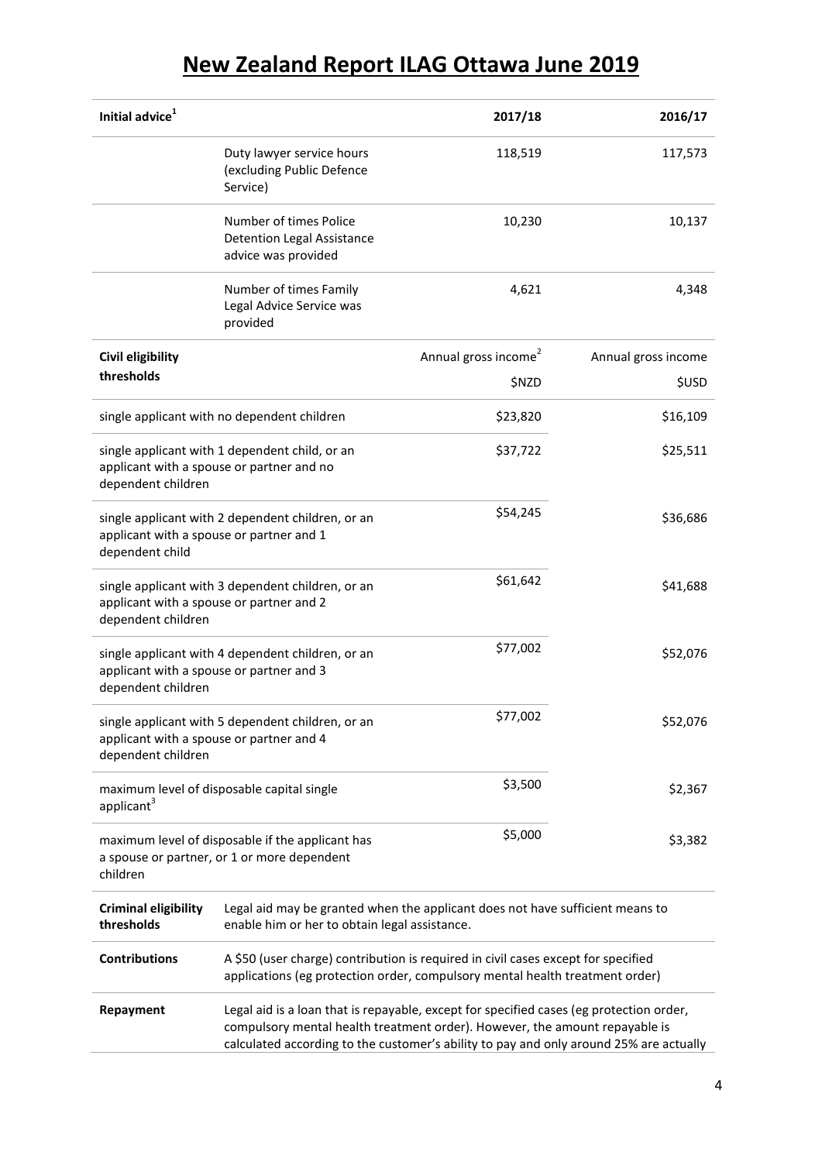| Initial advice <sup>1</sup>                                                                                         |                                                                                                                                                                                                                                                                  | 2017/18                          | 2016/17             |
|---------------------------------------------------------------------------------------------------------------------|------------------------------------------------------------------------------------------------------------------------------------------------------------------------------------------------------------------------------------------------------------------|----------------------------------|---------------------|
|                                                                                                                     | Duty lawyer service hours<br>(excluding Public Defence<br>Service)                                                                                                                                                                                               | 118,519                          | 117,573             |
|                                                                                                                     | Number of times Police<br><b>Detention Legal Assistance</b><br>advice was provided                                                                                                                                                                               | 10,230                           | 10,137              |
|                                                                                                                     | Number of times Family<br>Legal Advice Service was<br>provided                                                                                                                                                                                                   | 4,621                            | 4,348               |
| Civil eligibility                                                                                                   |                                                                                                                                                                                                                                                                  | Annual gross income <sup>2</sup> | Annual gross income |
| thresholds                                                                                                          |                                                                                                                                                                                                                                                                  | \$NZD                            | <b>\$USD</b>        |
|                                                                                                                     | single applicant with no dependent children                                                                                                                                                                                                                      | \$23,820                         | \$16,109            |
| dependent children                                                                                                  | single applicant with 1 dependent child, or an<br>applicant with a spouse or partner and no                                                                                                                                                                      | \$37,722                         | \$25,511            |
| applicant with a spouse or partner and 1<br>dependent child                                                         | single applicant with 2 dependent children, or an                                                                                                                                                                                                                | \$54,245                         | \$36,686            |
| single applicant with 3 dependent children, or an<br>applicant with a spouse or partner and 2<br>dependent children |                                                                                                                                                                                                                                                                  | \$61,642                         | \$41,688            |
| applicant with a spouse or partner and 3<br>dependent children                                                      | single applicant with 4 dependent children, or an                                                                                                                                                                                                                | \$77,002                         | \$52,076            |
| single applicant with 5 dependent children, or an<br>applicant with a spouse or partner and 4<br>dependent children |                                                                                                                                                                                                                                                                  | \$77,002                         | \$52,076            |
| applicant <sup>3</sup>                                                                                              | maximum level of disposable capital single                                                                                                                                                                                                                       | \$3,500                          | \$2,367             |
| maximum level of disposable if the applicant has<br>a spouse or partner, or 1 or more dependent<br>children         |                                                                                                                                                                                                                                                                  | \$5,000                          | \$3,382             |
| <b>Criminal eligibility</b><br>thresholds                                                                           | Legal aid may be granted when the applicant does not have sufficient means to<br>enable him or her to obtain legal assistance.                                                                                                                                   |                                  |                     |
| <b>Contributions</b>                                                                                                | A \$50 (user charge) contribution is required in civil cases except for specified<br>applications (eg protection order, compulsory mental health treatment order)                                                                                                |                                  |                     |
| Repayment                                                                                                           | Legal aid is a loan that is repayable, except for specified cases (eg protection order,<br>compulsory mental health treatment order). However, the amount repayable is<br>calculated according to the customer's ability to pay and only around 25% are actually |                                  |                     |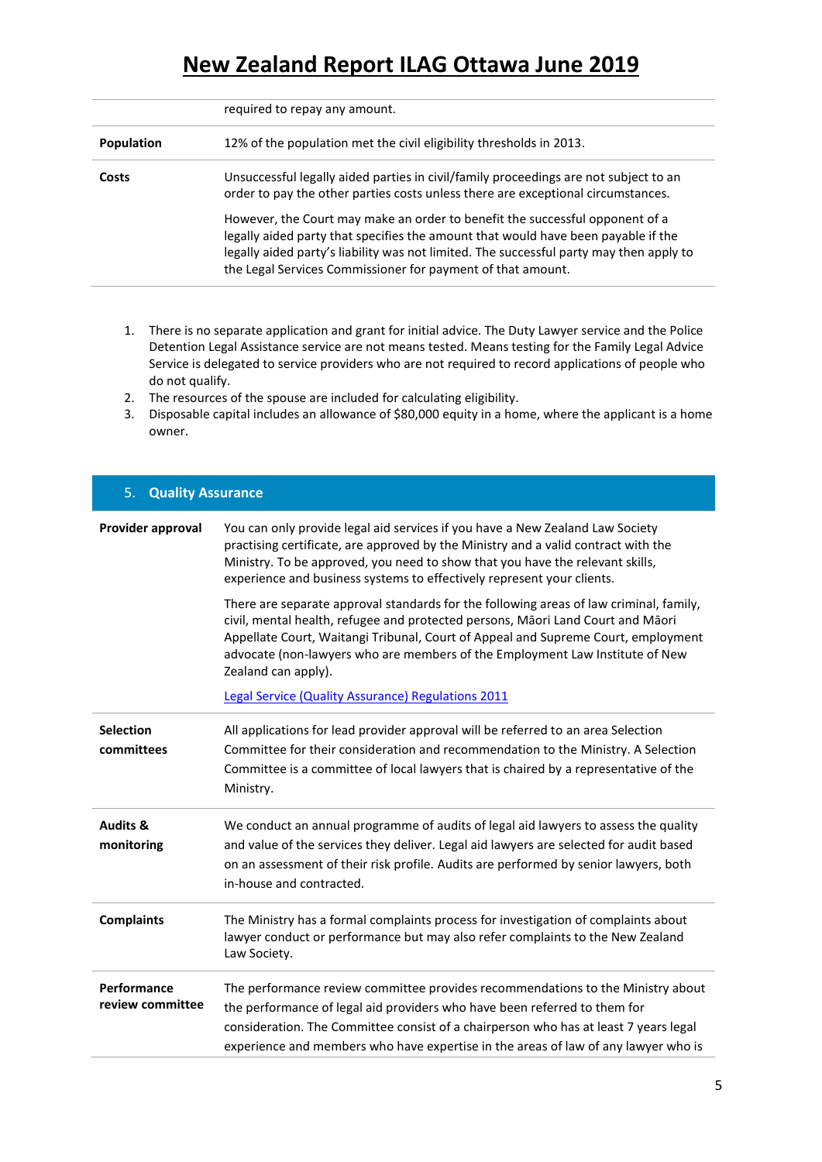|                   | required to repay any amount.                                                                                                                                                                                                                                                                                               |
|-------------------|-----------------------------------------------------------------------------------------------------------------------------------------------------------------------------------------------------------------------------------------------------------------------------------------------------------------------------|
| <b>Population</b> | 12% of the population met the civil eligibility thresholds in 2013.                                                                                                                                                                                                                                                         |
| Costs             | Unsuccessful legally aided parties in civil/family proceedings are not subject to an<br>order to pay the other parties costs unless there are exceptional circumstances.                                                                                                                                                    |
|                   | However, the Court may make an order to benefit the successful opponent of a<br>legally aided party that specifies the amount that would have been payable if the<br>legally aided party's liability was not limited. The successful party may then apply to<br>the Legal Services Commissioner for payment of that amount. |

- 1. There is no separate application and grant for initial advice. The Duty Lawyer service and the Police Detention Legal Assistance service are not means tested. Means testing for the Family Legal Advice Service is delegated to service providers who are not required to record applications of people who do not qualify.
- 2. The resources of the spouse are included for calculating eligibility.
- 3. Disposable capital includes an allowance of \$80,000 equity in a home, where the applicant is a home owner.

| <b>Quality Assurance</b><br>5.    |                                                                                                                                                                                                                                                                                                                                                                                                                             |  |
|-----------------------------------|-----------------------------------------------------------------------------------------------------------------------------------------------------------------------------------------------------------------------------------------------------------------------------------------------------------------------------------------------------------------------------------------------------------------------------|--|
| Provider approval                 | You can only provide legal aid services if you have a New Zealand Law Society<br>practising certificate, are approved by the Ministry and a valid contract with the<br>Ministry. To be approved, you need to show that you have the relevant skills,<br>experience and business systems to effectively represent your clients.                                                                                              |  |
|                                   | There are separate approval standards for the following areas of law criminal, family,<br>civil, mental health, refugee and protected persons, Māori Land Court and Māori<br>Appellate Court, Waitangi Tribunal, Court of Appeal and Supreme Court, employment<br>advocate (non-lawyers who are members of the Employment Law Institute of New<br>Zealand can apply).<br>Legal Service (Quality Assurance) Regulations 2011 |  |
| <b>Selection</b><br>committees    | All applications for lead provider approval will be referred to an area Selection<br>Committee for their consideration and recommendation to the Ministry. A Selection<br>Committee is a committee of local lawyers that is chaired by a representative of the<br>Ministry.                                                                                                                                                 |  |
| <b>Audits &amp;</b><br>monitoring | We conduct an annual programme of audits of legal aid lawyers to assess the quality<br>and value of the services they deliver. Legal aid lawyers are selected for audit based<br>on an assessment of their risk profile. Audits are performed by senior lawyers, both<br>in-house and contracted.                                                                                                                           |  |
| <b>Complaints</b>                 | The Ministry has a formal complaints process for investigation of complaints about<br>lawyer conduct or performance but may also refer complaints to the New Zealand<br>Law Society.                                                                                                                                                                                                                                        |  |
| Performance<br>review committee   | The performance review committee provides recommendations to the Ministry about<br>the performance of legal aid providers who have been referred to them for<br>consideration. The Committee consist of a chairperson who has at least 7 years legal<br>experience and members who have expertise in the areas of law of any lawyer who is                                                                                  |  |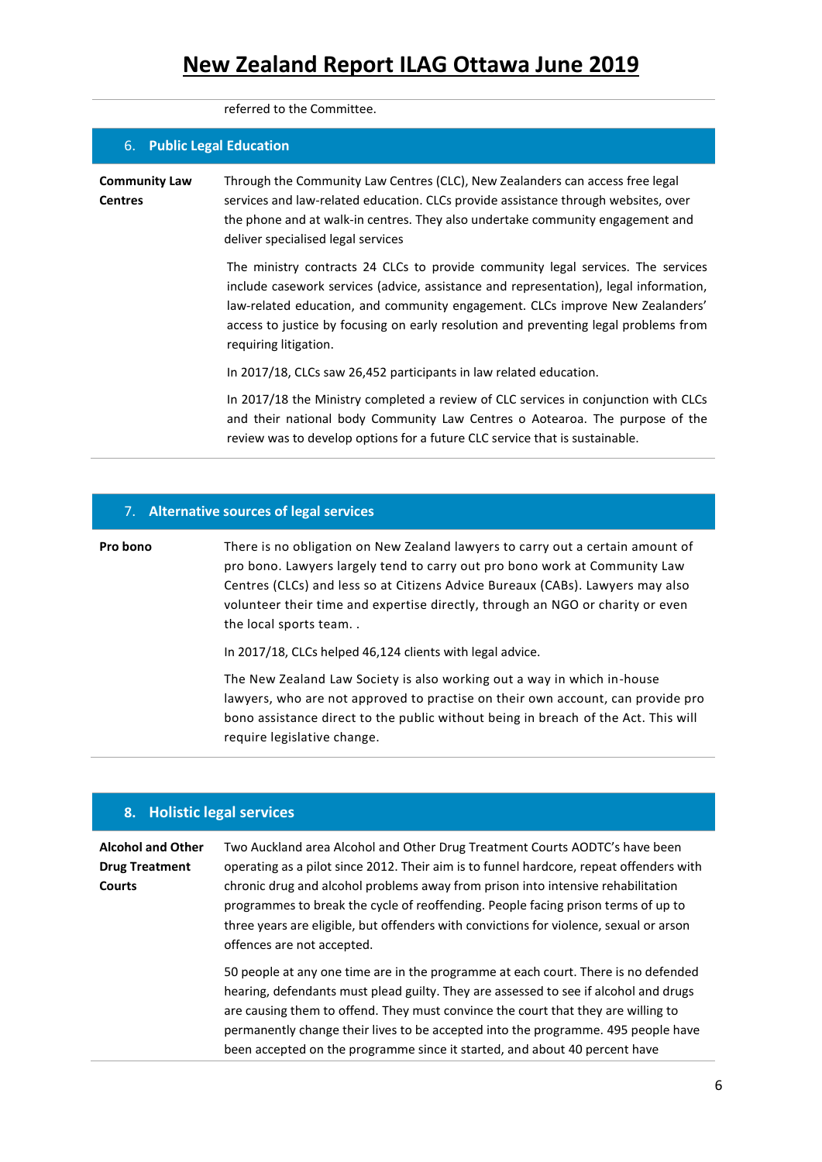referred to the Committee.

| 6. Public Legal Education              |                                                                                                                                                                                                                                                                                                                                                                             |
|----------------------------------------|-----------------------------------------------------------------------------------------------------------------------------------------------------------------------------------------------------------------------------------------------------------------------------------------------------------------------------------------------------------------------------|
| <b>Community Law</b><br><b>Centres</b> | Through the Community Law Centres (CLC), New Zealanders can access free legal<br>services and law-related education. CLCs provide assistance through websites, over<br>the phone and at walk-in centres. They also undertake community engagement and<br>deliver specialised legal services                                                                                 |
|                                        | The ministry contracts 24 CLCs to provide community legal services. The services<br>include casework services (advice, assistance and representation), legal information,<br>law-related education, and community engagement. CLCs improve New Zealanders'<br>access to justice by focusing on early resolution and preventing legal problems from<br>requiring litigation. |
|                                        | In 2017/18, CLCs saw 26,452 participants in law related education.                                                                                                                                                                                                                                                                                                          |
|                                        | In 2017/18 the Ministry completed a review of CLC services in conjunction with CLCs<br>and their national body Community Law Centres o Aotearoa. The purpose of the<br>review was to develop options for a future CLC service that is sustainable.                                                                                                                          |

#### 7. **Alternative sources of legal services**

**Pro bono** There is no obligation on New Zealand lawyers to carry out a certain amount of pro bono. Lawyers largely tend to carry out pro bono work at Community Law Centres (CLCs) and less so at Citizens Advice Bureaux (CABs). Lawyers may also volunteer their time and expertise directly, through an NGO or charity or even the local sports team. .

In 2017/18, CLCs helped 46,124 clients with legal advice.

The New Zealand Law Society is also working out a way in which in-house lawyers, who are not approved to practise on their own account, can provide pro bono assistance direct to the public without being in breach of the Act. This will require legislative change.

#### **8. Holistic legal services**

#### **Alcohol and Other Drug Treatment Courts** Two Auckland area Alcohol and Other Drug Treatment Courts AODTC's have been operating as a pilot since 2012. Their aim is to funnel hardcore, repeat offenders with chronic drug and alcohol problems away from prison into intensive rehabilitation programmes to break the cycle of reoffending. People facing prison terms of up to three years are eligible, but offenders with convictions for violence, sexual or arson offences are not accepted. 50 people at any one time are in the programme at each court. There is no defended hearing, defendants must plead guilty. They are assessed to see if alcohol and drugs are causing them to offend. They must convince the court that they are willing to permanently change their lives to be accepted into the programme. 495 people have

been accepted on the programme since it started, and about 40 percent have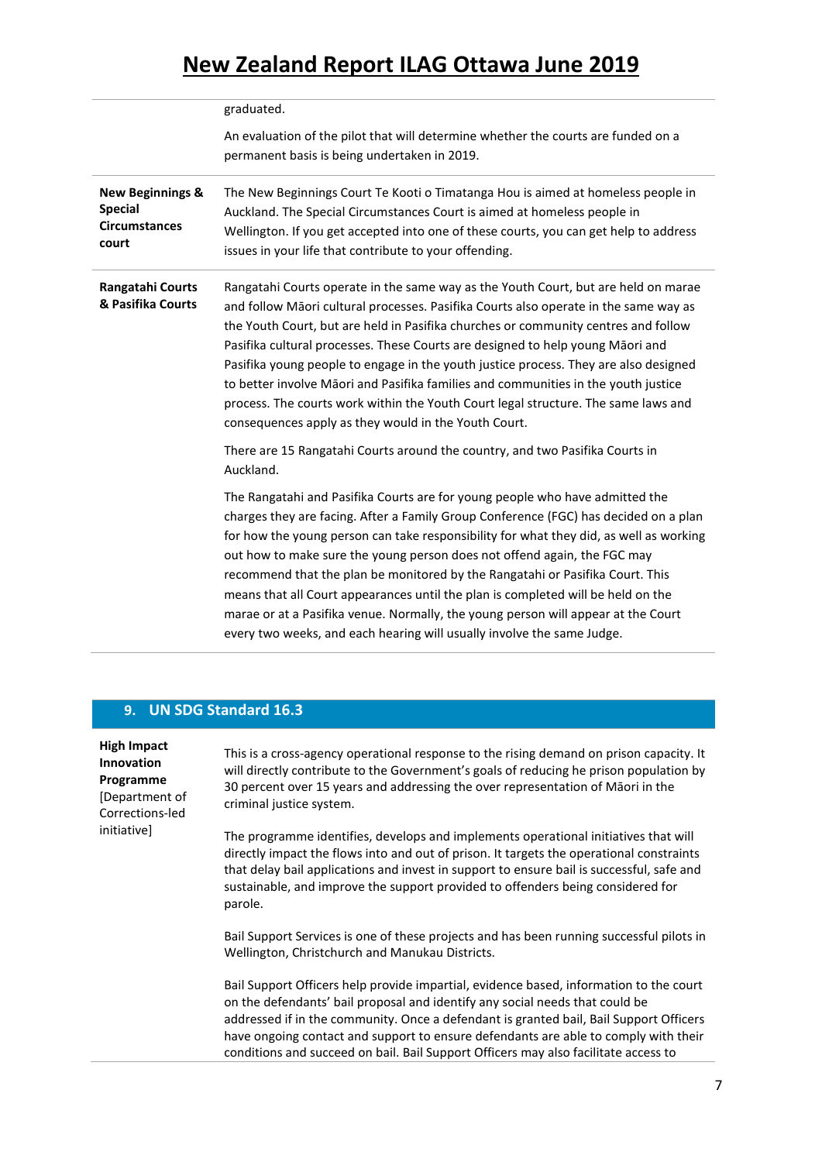|                                                                                | graduated.                                                                                                                                                                                                                                                                                                                                                                                                                                                                                                                                                                                                                                                                     |
|--------------------------------------------------------------------------------|--------------------------------------------------------------------------------------------------------------------------------------------------------------------------------------------------------------------------------------------------------------------------------------------------------------------------------------------------------------------------------------------------------------------------------------------------------------------------------------------------------------------------------------------------------------------------------------------------------------------------------------------------------------------------------|
|                                                                                | An evaluation of the pilot that will determine whether the courts are funded on a                                                                                                                                                                                                                                                                                                                                                                                                                                                                                                                                                                                              |
|                                                                                | permanent basis is being undertaken in 2019.                                                                                                                                                                                                                                                                                                                                                                                                                                                                                                                                                                                                                                   |
| <b>New Beginnings &amp;</b><br><b>Special</b><br><b>Circumstances</b><br>court | The New Beginnings Court Te Kooti o Timatanga Hou is aimed at homeless people in<br>Auckland. The Special Circumstances Court is aimed at homeless people in<br>Wellington. If you get accepted into one of these courts, you can get help to address<br>issues in your life that contribute to your offending.                                                                                                                                                                                                                                                                                                                                                                |
| Rangatahi Courts<br>& Pasifika Courts                                          | Rangatahi Courts operate in the same way as the Youth Court, but are held on marae<br>and follow Māori cultural processes. Pasifika Courts also operate in the same way as<br>the Youth Court, but are held in Pasifika churches or community centres and follow<br>Pasifika cultural processes. These Courts are designed to help young Māori and<br>Pasifika young people to engage in the youth justice process. They are also designed<br>to better involve Māori and Pasifika families and communities in the youth justice<br>process. The courts work within the Youth Court legal structure. The same laws and<br>consequences apply as they would in the Youth Court. |
|                                                                                | There are 15 Rangatahi Courts around the country, and two Pasifika Courts in<br>Auckland.                                                                                                                                                                                                                                                                                                                                                                                                                                                                                                                                                                                      |
|                                                                                | The Rangatahi and Pasifika Courts are for young people who have admitted the<br>charges they are facing. After a Family Group Conference (FGC) has decided on a plan<br>for how the young person can take responsibility for what they did, as well as working<br>out how to make sure the young person does not offend again, the FGC may<br>recommend that the plan be monitored by the Rangatahi or Pasifika Court. This<br>means that all Court appearances until the plan is completed will be held on the<br>marae or at a Pasifika venue. Normally, the young person will appear at the Court<br>every two weeks, and each hearing will usually involve the same Judge. |

### **9. UN SDG Standard 16.3**

| <b>High Impact</b><br><b>Innovation</b><br>Programme<br>[Department of<br>Corrections-led<br>initiativel | This is a cross-agency operational response to the rising demand on prison capacity. It<br>will directly contribute to the Government's goals of reducing he prison population by<br>30 percent over 15 years and addressing the over representation of Māori in the<br>criminal justice system.                                                                                                                                               |
|----------------------------------------------------------------------------------------------------------|------------------------------------------------------------------------------------------------------------------------------------------------------------------------------------------------------------------------------------------------------------------------------------------------------------------------------------------------------------------------------------------------------------------------------------------------|
|                                                                                                          | The programme identifies, develops and implements operational initiatives that will<br>directly impact the flows into and out of prison. It targets the operational constraints<br>that delay bail applications and invest in support to ensure bail is successful, safe and<br>sustainable, and improve the support provided to offenders being considered for<br>parole.                                                                     |
|                                                                                                          | Bail Support Services is one of these projects and has been running successful pilots in<br>Wellington, Christchurch and Manukau Districts.                                                                                                                                                                                                                                                                                                    |
|                                                                                                          | Bail Support Officers help provide impartial, evidence based, information to the court<br>on the defendants' bail proposal and identify any social needs that could be<br>addressed if in the community. Once a defendant is granted bail, Bail Support Officers<br>have ongoing contact and support to ensure defendants are able to comply with their<br>conditions and succeed on bail. Bail Support Officers may also facilitate access to |